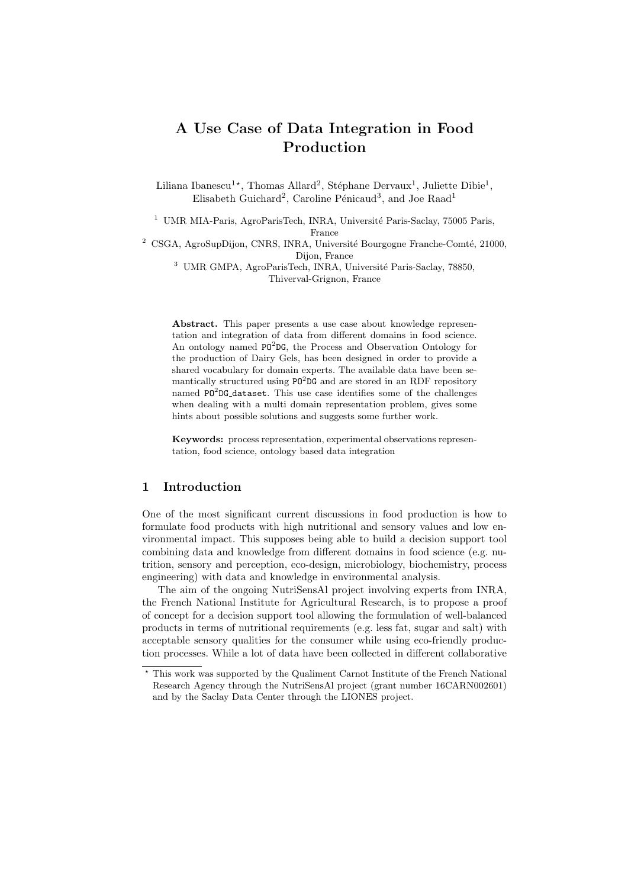# A Use Case of Data Integration in Food Production

Liliana Ibanescu<sup>1\*</sup>, Thomas Allard<sup>2</sup>, Stéphane Dervaux<sup>1</sup>, Juliette Dibie<sup>1</sup>, Elisabeth Guichard<sup>2</sup>, Caroline Pénicaud<sup>3</sup>, and Joe Raad<sup>1</sup>

<sup>1</sup> UMR MIA-Paris, AgroParisTech, INRA, Université Paris-Saclay, 75005 Paris, France

 $^2\,$  CSGA, AgroSupDijon, CNRS, INRA, Université Bourgogne Franche-Comté, 21000, Dijon, France

<sup>3</sup> UMR GMPA, AgroParisTech, INRA, Université Paris-Saclay, 78850, Thiverval-Grignon, France

Abstract. This paper presents a use case about knowledge representation and integration of data from different domains in food science. An ontology named PO<sup>2</sup>DG, the Process and Observation Ontology for the production of Dairy Gels, has been designed in order to provide a shared vocabulary for domain experts. The available data have been semantically structured using  $PO^{2}DG$  and are stored in an RDF repository named PO<sup>2</sup>DG\_dataset. This use case identifies some of the challenges when dealing with a multi domain representation problem, gives some hints about possible solutions and suggests some further work.

Keywords: process representation, experimental observations representation, food science, ontology based data integration

# 1 Introduction

One of the most significant current discussions in food production is how to formulate food products with high nutritional and sensory values and low environmental impact. This supposes being able to build a decision support tool combining data and knowledge from different domains in food science (e.g. nutrition, sensory and perception, eco-design, microbiology, biochemistry, process engineering) with data and knowledge in environmental analysis.

The aim of the ongoing NutriSensAl project involving experts from INRA, the French National Institute for Agricultural Research, is to propose a proof of concept for a decision support tool allowing the formulation of well-balanced products in terms of nutritional requirements (e.g. less fat, sugar and salt) with acceptable sensory qualities for the consumer while using eco-friendly production processes. While a lot of data have been collected in different collaborative

 $^\star$  This work was supported by the Qualiment Carnot Institute of the French National Research Agency through the NutriSensAl project (grant number 16CARN002601) and by the Saclay Data Center through the LIONES project.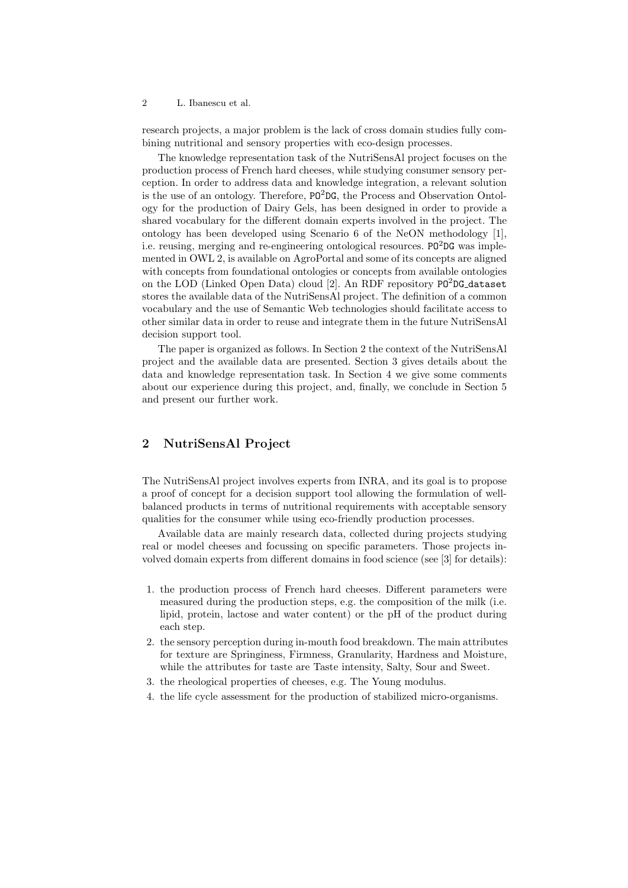#### 2 L. Ibanescu et al.

research projects, a major problem is the lack of cross domain studies fully combining nutritional and sensory properties with eco-design processes.

The knowledge representation task of the NutriSensAl project focuses on the production process of French hard cheeses, while studying consumer sensory perception. In order to address data and knowledge integration, a relevant solution is the use of an ontology. Therefore,  $PQ^2DG$ , the Process and Observation Ontology for the production of Dairy Gels, has been designed in order to provide a shared vocabulary for the different domain experts involved in the project. The ontology has been developed using Scenario 6 of the NeON methodology [1], i.e. reusing, merging and re-engineering ontological resources.  $PQ^2DG$  was implemented in OWL 2, is available on AgroPortal and some of its concepts are aligned with concepts from foundational ontologies or concepts from available ontologies on the LOD (Linked Open Data) cloud [2]. An RDF repository  $PQ^2DG\_dataset$ stores the available data of the NutriSensAl project. The definition of a common vocabulary and the use of Semantic Web technologies should facilitate access to other similar data in order to reuse and integrate them in the future NutriSensAl decision support tool.

The paper is organized as follows. In Section 2 the context of the NutriSensAl project and the available data are presented. Section 3 gives details about the data and knowledge representation task. In Section 4 we give some comments about our experience during this project, and, finally, we conclude in Section 5 and present our further work.

# 2 NutriSensAl Project

The NutriSensAl project involves experts from INRA, and its goal is to propose a proof of concept for a decision support tool allowing the formulation of wellbalanced products in terms of nutritional requirements with acceptable sensory qualities for the consumer while using eco-friendly production processes.

Available data are mainly research data, collected during projects studying real or model cheeses and focussing on specific parameters. Those projects involved domain experts from different domains in food science (see [3] for details):

- 1. the production process of French hard cheeses. Different parameters were measured during the production steps, e.g. the composition of the milk (i.e. lipid, protein, lactose and water content) or the pH of the product during each step.
- 2. the sensory perception during in-mouth food breakdown. The main attributes for texture are Springiness, Firmness, Granularity, Hardness and Moisture, while the attributes for taste are Taste intensity, Salty, Sour and Sweet.
- 3. the rheological properties of cheeses, e.g. The Young modulus.
- 4. the life cycle assessment for the production of stabilized micro-organisms.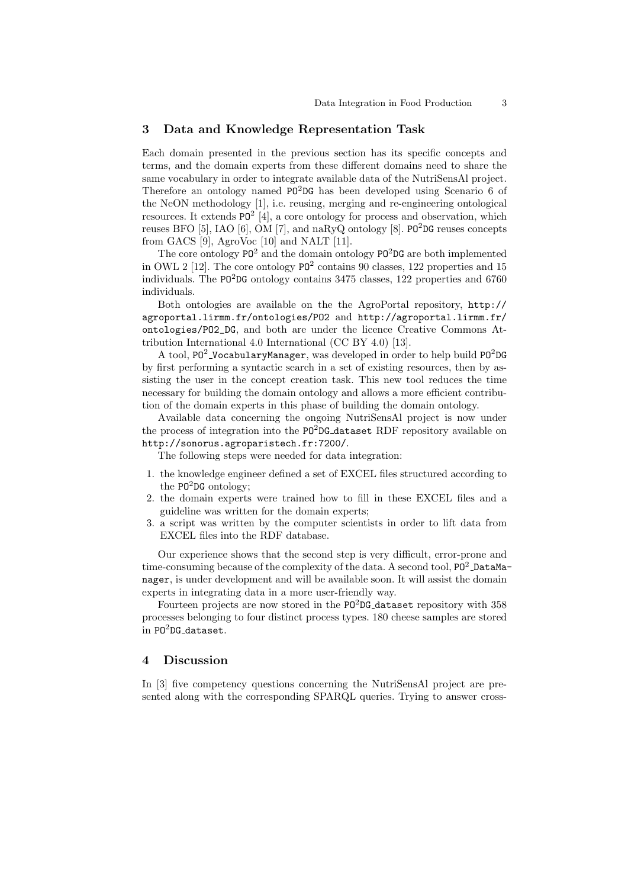#### 3 Data and Knowledge Representation Task

Each domain presented in the previous section has its specific concepts and terms, and the domain experts from these different domains need to share the same vocabulary in order to integrate available data of the NutriSensAl project. Therefore an ontology named  $PQ^2DG$  has been developed using Scenario 6 of the NeON methodology [1], i.e. reusing, merging and re-engineering ontological resources. It extends  $PO^2$  [4], a core ontology for process and observation, which reuses BFO  $[5]$ , IAO  $[6]$ , OM  $[7]$ , and naRyQ ontology  $[8]$ . PO<sup>2</sup>DG reuses concepts from GACS [9], AgroVoc [10] and NALT [11].

The core ontology  $PQ^2$  and the domain ontology  $PQ^2DG$  are both implemented in OWL 2 [12]. The core ontology  $PQ^2$  contains 90 classes, 122 properties and 15 individuals. The PO<sup>2</sup>DG ontology contains 3475 classes, 122 properties and 6760 individuals.

Both ontologies are available on the the AgroPortal repository, http:// agroportal.lirmm.fr/ontologies/PO2 and http://agroportal.lirmm.fr/ ontologies/PO2\_DG, and both are under the licence Creative Commons Attribution International 4.0 International (CC BY 4.0) [13].

A tool,  $PQ^2$ -VocabularyManager, was developed in order to help build  $PQ^2DG$ by first performing a syntactic search in a set of existing resources, then by assisting the user in the concept creation task. This new tool reduces the time necessary for building the domain ontology and allows a more efficient contribution of the domain experts in this phase of building the domain ontology.

Available data concerning the ongoing NutriSensAl project is now under the process of integration into the  $PO^{2}DG$ -dataset RDF repository available on http://sonorus.agroparistech.fr:7200/.

The following steps were needed for data integration:

- 1. the knowledge engineer defined a set of EXCEL files structured according to the  $P0^2$ DG ontology;
- 2. the domain experts were trained how to fill in these EXCEL files and a guideline was written for the domain experts;
- 3. a script was written by the computer scientists in order to lift data from EXCEL files into the RDF database.

Our experience shows that the second step is very difficult, error-prone and time-consuming because of the complexity of the data. A second tool,  $P0^2$  DataManager, is under development and will be available soon. It will assist the domain experts in integrating data in a more user-friendly way.

Fourteen projects are now stored in the PO<sup>2</sup>DG<sub>-</sub>dataset repository with 358 processes belonging to four distinct process types. 180 cheese samples are stored in PO<sup>2</sup>DG\_dataset.

#### 4 Discussion

In [3] five competency questions concerning the NutriSensAl project are presented along with the corresponding SPARQL queries. Trying to answer cross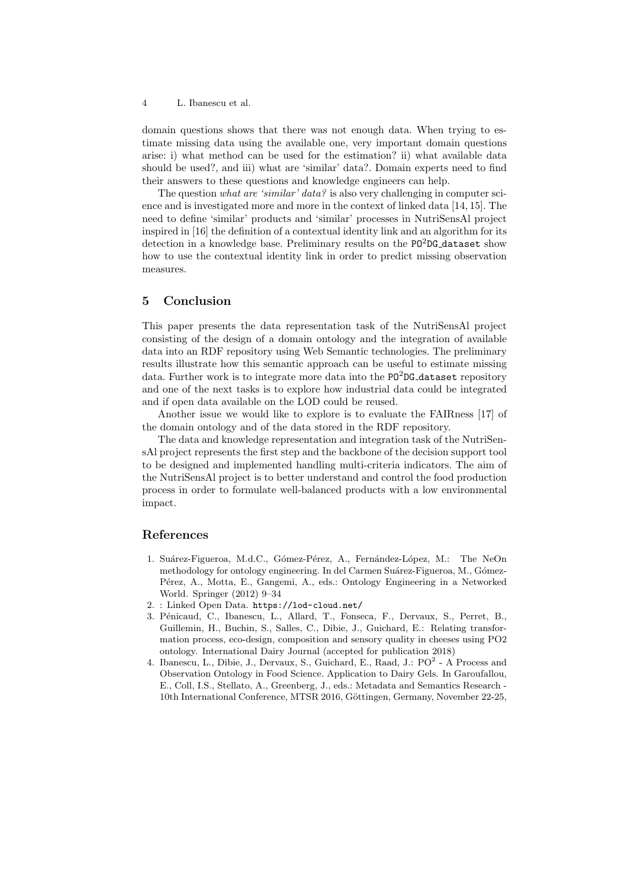4 L. Ibanescu et al.

domain questions shows that there was not enough data. When trying to estimate missing data using the available one, very important domain questions arise: i) what method can be used for the estimation? ii) what available data should be used?, and iii) what are 'similar' data?. Domain experts need to find their answers to these questions and knowledge engineers can help.

The question what are 'similar' data? is also very challenging in computer science and is investigated more and more in the context of linked data [14, 15]. The need to define 'similar' products and 'similar' processes in NutriSensAl project inspired in [16] the definition of a contextual identity link and an algorithm for its detection in a knowledge base. Preliminary results on the PO<sup>2</sup>DG<sub>-</sub>dataset show how to use the contextual identity link in order to predict missing observation measures.

## 5 Conclusion

This paper presents the data representation task of the NutriSensAl project consisting of the design of a domain ontology and the integration of available data into an RDF repository using Web Semantic technologies. The preliminary results illustrate how this semantic approach can be useful to estimate missing data. Further work is to integrate more data into the  $PO<sup>2</sup>DG$ -dataset repository and one of the next tasks is to explore how industrial data could be integrated and if open data available on the LOD could be reused.

Another issue we would like to explore is to evaluate the FAIRness [17] of the domain ontology and of the data stored in the RDF repository.

The data and knowledge representation and integration task of the NutriSensAl project represents the first step and the backbone of the decision support tool to be designed and implemented handling multi-criteria indicators. The aim of the NutriSensAl project is to better understand and control the food production process in order to formulate well-balanced products with a low environmental impact.

## References

- 1. Suárez-Figueroa, M.d.C., Gómez-Pérez, A., Fernández-López, M.: The NeOn methodology for ontology engineering. In del Carmen Suárez-Figueroa, M., Gómez-Pérez, A., Motta, E., Gangemi, A., eds.: Ontology Engineering in a Networked World. Springer (2012) 9–34
- 2. : Linked Open Data. https://lod-cloud.net/
- 3. Pénicaud, C., Ibanescu, L., Allard, T., Fonseca, F., Dervaux, S., Perret, B., Guillemin, H., Buchin, S., Salles, C., Dibie, J., Guichard, E.: Relating transformation process, eco-design, composition and sensory quality in cheeses using PO2 ontology. International Dairy Journal (accepted for publication 2018)
- 4. Ibanescu, L., Dibie, J., Dervaux, S., Guichard, E., Raad, J.: PO<sup>2</sup> A Process and Observation Ontology in Food Science. Application to Dairy Gels. In Garoufallou, E., Coll, I.S., Stellato, A., Greenberg, J., eds.: Metadata and Semantics Research - 10th International Conference, MTSR 2016, Göttingen, Germany, November 22-25,